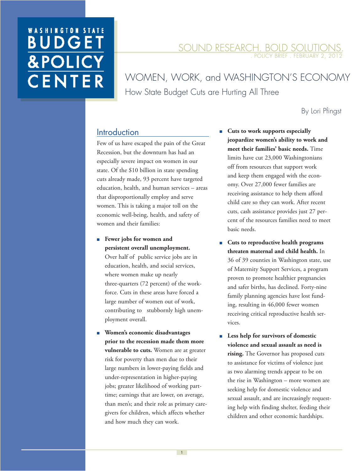# **WASHINGTON STATE BUDGE &POLIC** CENTER

#### SOUND RESEARCH. BOLD SOLUTIONS. POLICY BRIEF . FEBRUARY

WOMEN, WORK, and WASHINGTON'S ECONOMY How State Budget Cuts are Hurting All Three

#### By Lori Pfingst

## **Introduction**

Few of us have escaped the pain of the Great Recession, but the downturn has had an especially severe impact on women in our state. Of the \$10 billion in state spending cuts already made, 93 percent have targeted education, health, and human services – areas that disproportionally employ and serve women. This is taking a major toll on the economic well-being, health, and safety of women and their families:

■ **Fewer** jobs for women and **persistent overall unemployment.** 

Over half of public service jobs are in education, health, and social services, where women make up nearly three-quarters (72 percent) of the workforce. Cuts in these areas have forced a large number of women out of work, contributing to stubbornly high unemployment overall.

 ■ **Women's economic disadvantages prior to the recession made them more vulnerable to cuts.** Women are at greater risk for poverty than men due to their large numbers in lower-paying fields and under-representation in higher-paying jobs; greater likelihood of working parttime; earnings that are lower, on average, than men's; and their role as primary caregivers for children, which affects whether and how much they can work.

- Cuts to work supports especially **jeopardize women's ability to work and meet their families' basic needs.** Time limits have cut 23,000 Washingtonians off from resources that support work and keep them engaged with the economy. Over 27,000 fewer families are receiving assistance to help them afford child care so they can work. After recent cuts, cash assistance provides just 27 percent of the resources families need to meet basic needs.
- **Cuts to reproductive health programs threaten maternal and child health.** In 36 of 39 counties in Washington state, use of Maternity Support Services, a program proven to promote healthier pregnancies and safer births, has declined. Forty-nine family planning agencies have lost funding, resulting in 46,000 fewer women receiving critical reproductive health services.
- Less help for survivors of domestic **violence and sexual assault as need is rising.** The Governor has proposed cuts to assistance for victims of violence just as two alarming trends appear to be on the rise in Washington – more women are seeking help for domestic violence and sexual assault, and are increasingly requesting help with finding shelter, feeding their children and other economic hardships.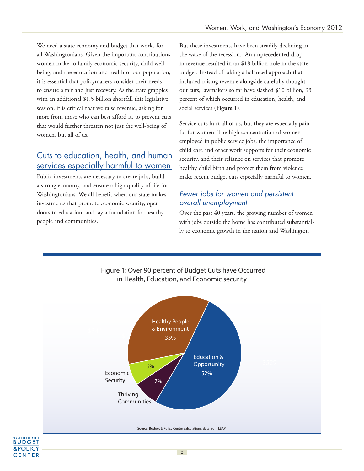We need a state economy and budget that works for all Washingtonians. Given the important contributions women make to family economic security, child wellbeing, and the education and health of our population, it is essential that policymakers consider their needs to ensure a fair and just recovery. As the state grapples with an additional \$1.5 billion shortfall this legislative session, it is critical that we raise revenue, asking for more from those who can best afford it, to prevent cuts that would further threaten not just the well-being of women, but all of us.

# Cuts to education, health, and human services especially harmful to women

Public investments are necessary to create jobs, build a strong economy, and ensure a high quality of life for Washingtonians. We all benefit when our state makes investments that promote economic security, open doors to education, and lay a foundation for healthy people and communities.

**BUDGET &POLICY CENTER**  But these investments have been steadily declining in the wake of the recession. An unprecedented drop in revenue resulted in an \$18 billion hole in the state budget. Instead of taking a balanced approach that included raising revenue alongside carefully thoughtout cuts, lawmakers so far have slashed \$10 billion, 93 percent of which occurred in education, health, and social services (**Figure 1**).

Service cuts hurt all of us, but they are especially painful for women. The high concentration of women employed in public service jobs, the importance of child care and other work supports for their economic security, and their reliance on services that promote healthy child birth and protect them from violence make recent budget cuts especially harmful to women.

#### Fewer jobs for women and persistent overall unemployment

Over the past 40 years, the growing number of women with jobs outside the home has contributed substantially to economic growth in the nation and Washington



#### Figure 1: Over 90 percent of Budget Cuts have Occurred in Health, Education, and Economic security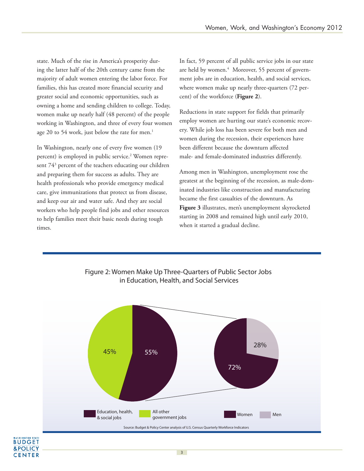state. Much of the rise in America's prosperity during the latter half of the 20th century came from the majority of adult women entering the labor force. For families, this has created more financial security and greater social and economic opportunities, such as owning a home and sending children to college. Today, women make up nearly half (48 percent) of the people working in Washington, and three of every four women age 20 to 54 work, just below the rate for men.<sup>1</sup>

In Washington, nearly one of every five women (19 percent) is employed in public service.<sup>2</sup> Women represent 74<sup>3</sup> percent of the teachers educating our children and preparing them for success as adults. They are health professionals who provide emergency medical care, give immunizations that protect us from disease, and keep our air and water safe. And they are social workers who help people find jobs and other resources to help families meet their basic needs during tough times.

In fact, 59 percent of all public service jobs in our state are held by women.<sup>4</sup> Moreover, 55 percent of government jobs are in education, health, and social services, where women make up nearly three-quarters (72 percent) of the workforce (**Figure 2**).

Reductions in state support for fields that primarily employ women are hurting our state's economic recovery. While job loss has been severe for both men and women during the recession, their experiences have been different because the downturn affected male- and female-dominated industries differently.

Among men in Washington, unemployment rose the greatest at the beginning of the recession, as male-dominated industries like construction and manufacturing became the first casualties of the downturn. As **Figure 3** illustrates, men's unemployment skyrocketed starting in 2008 and remained high until early 2010, when it started a gradual decline.



#### Figure 2: Women Make Up Three-Quarters of Public Sector Jobs in Education, Health, and Social Services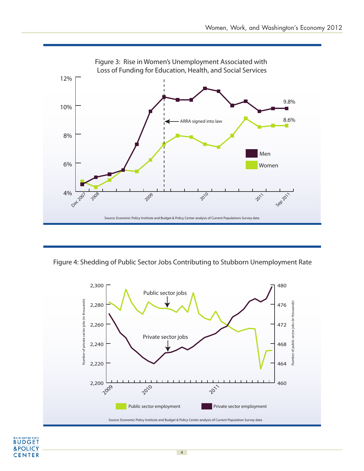

Figure 4: Shedding of Public Sector Jobs Contributing to Stubborn Unemployment Rate



#### **BUDGET** &POLICY **CENTER**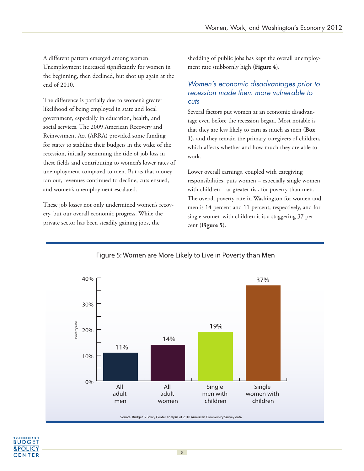A different pattern emerged among women. Unemployment increased significantly for women in the beginning, then declined, but shot up again at the end of 2010.

The difference is partially due to women's greater likelihood of being employed in state and local government, especially in education, health, and social services. The 2009 American Recovery and Reinvestment Act (ARRA) provided some funding for states to stabilize their budgets in the wake of the recession, initially stemming the tide of job loss in these fields and contributing to women's lower rates of unemployment compared to men. But as that money ran out, revenues continued to decline, cuts ensued, and women's unemployment escalated.

These job losses not only undermined women's recovery, but our overall economic progress. While the private sector has been steadily gaining jobs, the

shedding of public jobs has kept the overall unemployment rate stubbornly high (**Figure 4**).

#### Women's economic disadvantages prior to recession made them more vulnerable to cuts

Several factors put women at an economic disadvantage even before the recession began. Most notable is that they are less likely to earn as much as men (**Box 1)**, and they remain the primary caregivers of children, which affects whether and how much they are able to work.

Lower overall earnings, coupled with caregiving responsibilities, puts women – especially single women with children – at greater risk for poverty than men. The overall poverty rate in Washington for women and men is 14 percent and 11 percent, respectively, and for single women with children it is a staggering 37 percent (**Figure 5**).



#### Figure 5: Women are More Likely to Live in Poverty than Men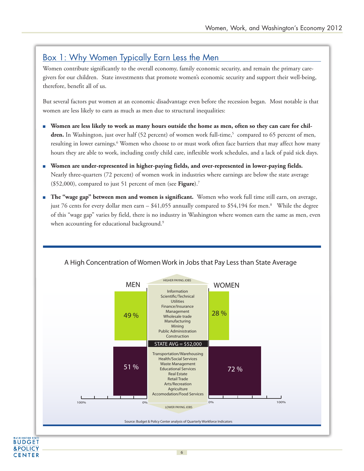## Box 1: Why Women Typically Earn Less the Men

Women contribute significantly to the overall economy, family economic security, and remain the primary caregivers for our children. State investments that promote women's economic security and support their well-being, therefore, benefit all of us.

But several factors put women at an economic disadvantage even before the recession began. Most notable is that women are less likely to earn as much as men due to structural inequalities:

- **Women are less likely to work as many hours outside the home as men, often so they can care for chil**dren. In Washington, just over half (52 percent) of women work full-time,<sup>5</sup> compared to 65 percent of men, resulting in lower earnings.<sup>6</sup> Women who choose to or must work often face barriers that may affect how many hours they are able to work, including costly child care, inflexible work schedules, and a lack of paid sick days.
- **Women are under-represented in higher-paying fields, and over-represented in lower-paying fields.**  Nearly three-quarters (72 percent) of women work in industries where earnings are below the state average (\$52,000), compared to just 51 percent of men (see **Figure**).<sup>7</sup>
- **The "wage gap" between men and women is significant.** Women who work full time still earn, on average, just 76 cents for every dollar men earn – \$41,055 annually compared to \$54,194 for men.<sup>8</sup> While the degree of this "wage gap" varies by field, there is no industry in Washington where women earn the same as men, even when accounting for educational background.<sup>9</sup>



6

**BUDGET &POLICY CENTER** 

#### A High Concentration of Women Work in Jobs that Pay Less than State Average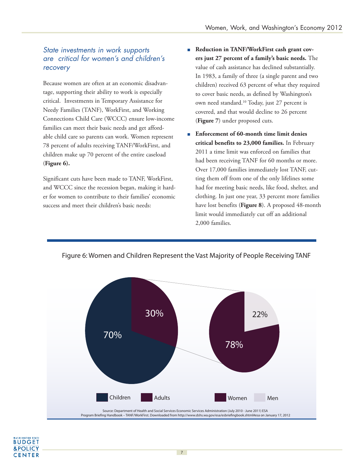#### State investments in work supports are critical for women's and children's recovery

Because women are often at an economic disadvantage, supporting their ability to work is especially critical. Investments in Temporary Assistance for Needy Families (TANF), WorkFirst, and Working Connections Child Care (WCCC) ensure low-income families can meet their basic needs and get affordable child care so parents can work. Women represent 78 percent of adults receiving TANF/WorkFirst, and children make up 70 percent of the entire caseload (**Figure 6).**

Significant cuts have been made to TANF, WorkFirst, and WCCC since the recession began, making it harder for women to contribute to their families' economic success and meet their children's basic needs:

- **Reduction in TANF/WorkFirst cash grant covers just 27 percent of a family's basic needs.** The value of cash assistance has declined substantially. In 1983, a family of three (a single parent and two children) received 63 percent of what they required to cover basic needs, as defined by Washington's own need standard.<sup>10</sup> Today, just 27 percent is covered, and that would decline to 26 percent (**Figure 7**) under proposed cuts.
- **Enforcement of 60-month time limit denies critical benefits to 23,000 families.** In February 2011 a time limit was enforced on families that had been receiving TANF for 60 months or more. Over 17,000 families immediately lost TANF, cutting them off from one of the only lifelines some had for meeting basic needs, like food, shelter, and clothing. In just one year, 33 percent more families have lost benefits (**Figure 8**). A proposed 48-month limit would immediately cut off an additional 2,000 families.



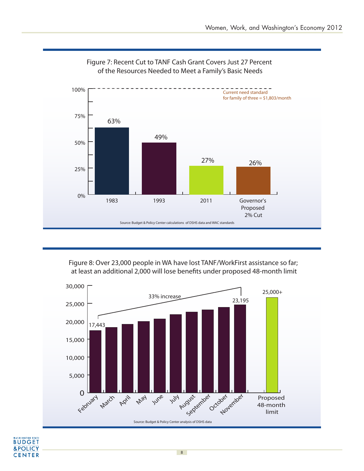

#### Figure 7: Recent Cut to TANF Cash Grant Covers Just 27 Percent of the Resources Needed to Meet a Family's Basic Needs

Figure 8: Over 23,000 people in WA have lost TANF/WorkFirst assistance so far; at least an additional 2,000 will lose benefits under proposed 48-month limit

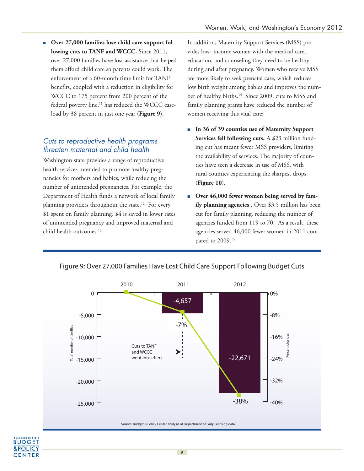■ Over 27,000 families lose child care support fol**lowing cuts to TANF and WCCC.** Since 2011, over 27,000 families have lost assistance that helped them afford child care so parents could work. The enforcement of a 60-month time limit for TANF benefits, coupled with a reduction in eligibility for WCCC to 175 percent from 200 percent of the federal poverty line,<sup>11</sup> has reduced the WCCC caseload by 38 percent in just one year (**Figure 9**).

#### Cuts to reproductive health programs threaten maternal and child health

Washington state provides a range of reproductive health services intended to promote healthy pregnancies for mothers and babies, while reducing the number of unintended pregnancies. For example, the Department of Health funds a network of local family planning providers throughout the state.<sup>12</sup> For every \$1 spent on family planning, \$4 is saved in lower rates of unintended pregnancy and improved maternal and child health outcomes.<sup>13</sup>

**BUDGET &POLICY CENTER** 

In addition, Maternity Support Services (MSS) provides low- income women with the medical care, education, and counseling they need to be healthy during and after pregnancy. Women who receive MSS are more likely to seek prenatal care, which reduces low birth weight among babies and improves the number of healthy births.<sup>14</sup> Since 2009, cuts to MSS and family planning grants have reduced the number of women receiving this vital care:

- In 36 of 39 counties use of Maternity Support **Services fell following cuts.** A \$23 million funding cut has meant fewer MSS providers, limiting the availability of services. The majority of counties have seen a decrease in use of MSS, with rural counties experiencing the sharpest drops (**Figure 10**).
- Over 46,000 fewer women being served by fam**ily planning agencies .** Over \$3.5 million has been cut for family planning, reducing the number of agencies funded from 119 to 70. As a result, these agencies served 46,000 fewer women in 2011 compared to 2009.15



Figure 9: Over 27,000 Families Have Lost Child Care Support Following Budget Cuts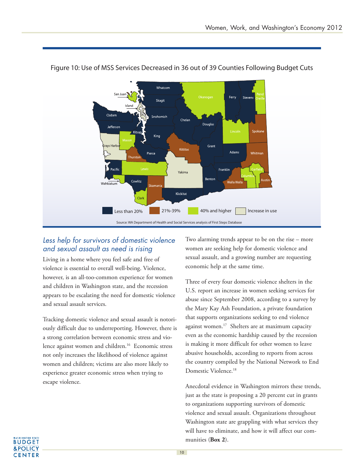

Figure 10: Use of MSS Services Decreased in 36 out of 39 Counties Following Budget Cuts

## Less help for survivors of domestic violence and sexual assault as need is rising

Living in a home where you feel safe and free of violence is essential to overall well-being. Violence, however, is an all-too-common experience for women and children in Washington state, and the recession appears to be escalating the need for domestic violence and sexual assault services.

Tracking domestic violence and sexual assault is notoriously difficult due to underreporting. However, there is a strong correlation between economic stress and violence against women and children.<sup>16</sup> Economic stress not only increases the likelihood of violence against women and children; victims are also more likely to experience greater economic stress when trying to escape violence.

Two alarming trends appear to be on the rise – more women are seeking help for domestic violence and sexual assault, and a growing number are requesting economic help at the same time.

Three of every four domestic violence shelters in the U.S. report an increase in women seeking services for abuse since September 2008, according to a survey by the Mary Kay Ash Foundation, a private foundation that supports organizations seeking to end violence against women.<sup>17</sup> Shelters are at maximum capacity even as the economic hardship caused by the recession is making it more difficult for other women to leave abusive households, according to reports from across the country compiled by the National Network to End Domestic Violence.<sup>18</sup>

Anecdotal evidence in Washington mirrors these trends, just as the state is proposing a 20 percent cut in grants to organizations supporting survivors of domestic violence and sexual assault. Organizations throughout Washington state are grappling with what services they will have to eliminate, and how it will affect our communities (**Box 2**).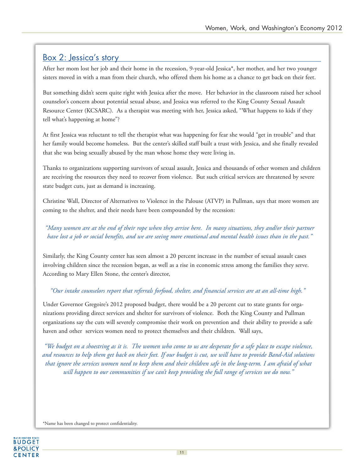## Box 2: Jessica's story

After her mom lost her job and their home in the recession, 9-year-old Jessica\*, her mother, and her two younger sisters moved in with a man from their church, who offered them his home as a chance to get back on their feet.

But something didn't seem quite right with Jessica after the move. Her behavior in the classroom raised her school counselor's concern about potential sexual abuse, and Jessica was referred to the King County Sexual Assault Resource Center (KCSARC). As a therapist was meeting with her, Jessica asked, "What happens to kids if they tell what's happening at home"?

At first Jessica was reluctant to tell the therapist what was happening for fear she would "get in trouble" and that her family would become homeless. But the center's skilled staff built a trust with Jessica, and she finally revealed that she was being sexually abused by the man whose home they were living in.

Thanks to organizations supporting survivors of sexual assault, Jessica and thousands of other women and children are receiving the resources they need to recover from violence. But such critical services are threatened by severe state budget cuts, just as demand is increasing.

Christine Wall, Director of Alternatives to Violence in the Palouse (ATVP) in Pullman, says that more women are coming to the shelter, and their needs have been compounded by the recession:

#### *"Many women are at the end of their rope when they arrive here. In many situations, they and/or their partner have lost a job or social benefits, and we are seeing more emotional and mental health issues than in the past."*

Similarly, the King County center has seen almost a 20 percent increase in the number of sexual assault cases involving children since the recession began, as well as a rise in economic stress among the families they serve. According to Mary Ellen Stone, the center's director,

#### *"Our intake counselors report that referrals forfood, shelter, and financial services are at an all-time high."*

Under Governor Gregoire's 2012 proposed budget, there would be a 20 percent cut to state grants for organizations providing direct services and shelter for survivors of violence. Both the King County and Pullman organizations say the cuts will severely compromise their work on prevention and their ability to provide a safe haven and other services women need to protect themselves and their children. Wall says,

*"We budget on a shoestring as it is. The women who come to us are desperate for a safe place to escape violence, and resources to help them get back on their feet. If our budget is cut, we will have to provide Band-Aid solutions that ignore the services women need to keep them and their children safe in the long-term. I am afraid of what will happen to our communities if we can't keep providing the full range of services we do now."*

\*Name has been changed to protect confidentiality.